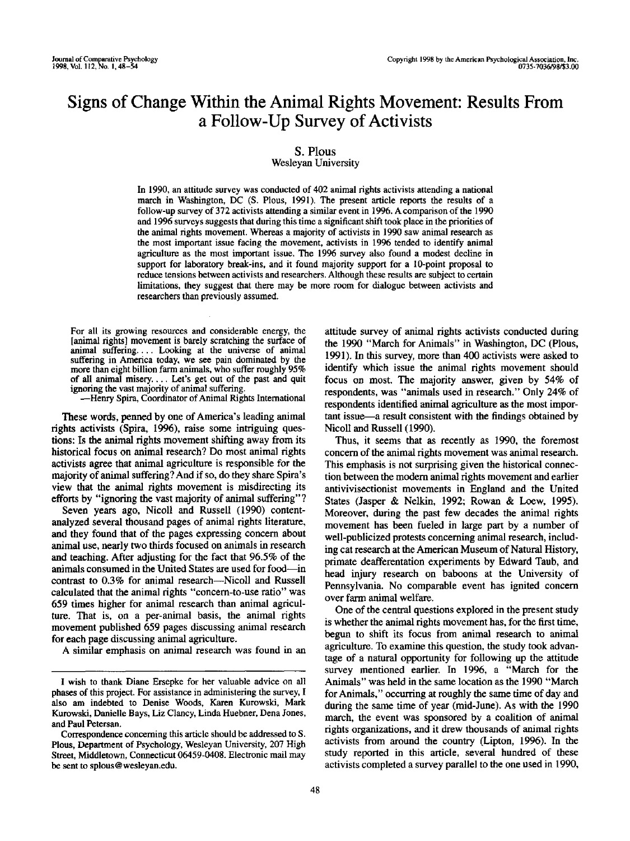# **Signs of Change Within the Animal Rights Movement: Results From a Follow-Up Survey of Activists**

# **S.** Plous

# Wesleyan University

In 1990, an attitude survey was conducted of 402 animal rights activists attending a national march in Washington, DC (S. Pious, 1991). The present article reports the results of a follow-up survey of 372 activists attending a similar event in 1996. A comparison of the 1990 and 1996 surveys suggests that during this time a significant shift took place in the priorities of the animal rights movement. Whereas a majority of activists in 1990 saw animal research as the most important issue facing the movement, activists in 1996 tended to identify animal agriculture as the most important issue. The 1996 survey also found a modest decline in support for laboratory break-ins, and it found majority support for a 10-point proposal to reduce tensions between activists and researchers. Although these results are subject to certain limitations, they suggest that there may be more room for dialogue between activists and researchers than previously assumed.

For all its growing resources and considerable energy, the [animal rights] movement is barely scratching the surface of animal suffering.... Looking at the universe of animal suffering in America today, we see pain dominated by the more than eight billion farm animals, who suffer roughly 95% of all animal misery.... Let's get out of the past and quit ignoring the vast majority of animal suffering.

--Henry Spira, Coordinator of Animal Rights International

These words, penned by one of America's leading animal rights activists (Spira, 1996), raise some intriguing questions: Is the animal rights movement shifting away from its historical focus on animal research? Do most animal rights activists agree that animal agriculture is responsible for the majority of animal suffering? And if so, do they share Spira's view that the animal rights movement is misdirecting its efforts by "ignoring the vast majority of animal suffering"?

Seven years ago, Nicoll and Russell (1990) contentanalyzed several thousand pages of animal rights literature, and they found that of the pages expressing concern about animal use, nearly two thirds focused on animals in research and teaching. After adjusting for the fact that 96.5% of the animals consumed in the United States are used for food--in contrast to  $0.3\%$  for animal research—Nicoll and Russell calculated that the animal rights "concern-to-use ratio" was 659 times higher for animal research than animal agriculture. That is, on a per-animal basis, the animal rights movement published 659 pages discussing animal research for each page discussing animal agriculture.

A similar emphasis on animal research was found in an

attitude survey of animal rights activists conducted during the 1990 "March for Animals" in Washington, DC (Plous, 1991). In this survey, more than 400 activists were asked to identify which issue the animal rights movement should focus on most. The majority answer, given by 54% of respondents, was "animals used in research." Only 24% of respondents identified animal agriculture as the most important issue-a result consistent with the findings obtained by Nicoll and Russell (1990).

Thus, it seems that as recently as 1990, the foremost concern of the animal rights movement was animal research. This emphasis is not surprising given the historical connection between the modem animal rights movement and earlier antivivisectionist movements in England and the United States (Jasper & Nelkin, 1992; Rowan & Loew, 1995). Moreover, during the past few decades the animal rights movement has been fueled in large part by a number of well-publicized protests concerning animal research, including cat research at the American Museum of Natural History, primate deafferentation experiments by Edward Taub, and head injury research on baboons at the University of Pennsylvania. No comparable event has ignited concern over farm animal welfare.

One of the central questions explored in the present study is whether the animal rights movement has, for the first time, begun to shift its focus from animal research to animal agriculture. To examine this question, the study took advantage of a natural opportunity for following up the attitude survey mentioned earlier. In 1996, a "March for the Animals" was held in the same location as the 1990 "March for Animals," occurring at roughly the same time of day and during the same time of year (mid-June). As with the 1990 march, the event was sponsored by a coalition of animal rights organizations, and it drew thousands of animal rights activists from around the country (Lipton, 1996). In the study reported in this article, several hundred of these activists completed a survey parallel to the one used in 1990,

I wish to thank Diane Ersepke for her valuable advice on all phases of this project. For assistance in administering the survey, I also am indebted to Denise Woods, Karen Kurowski, Mark Kurowski, Danielle Bays, Liz Clancy, Linda Huebner, Dena Jones, and Paul Petersan.

Correspondence concerning this article should be addressed to S. Pious, Department of Psychology, Wesleyan University, 207 High Street, Middletown, Connecticut 06459-0408. Electronic mail may be sent to splous @ wesleyan.edu.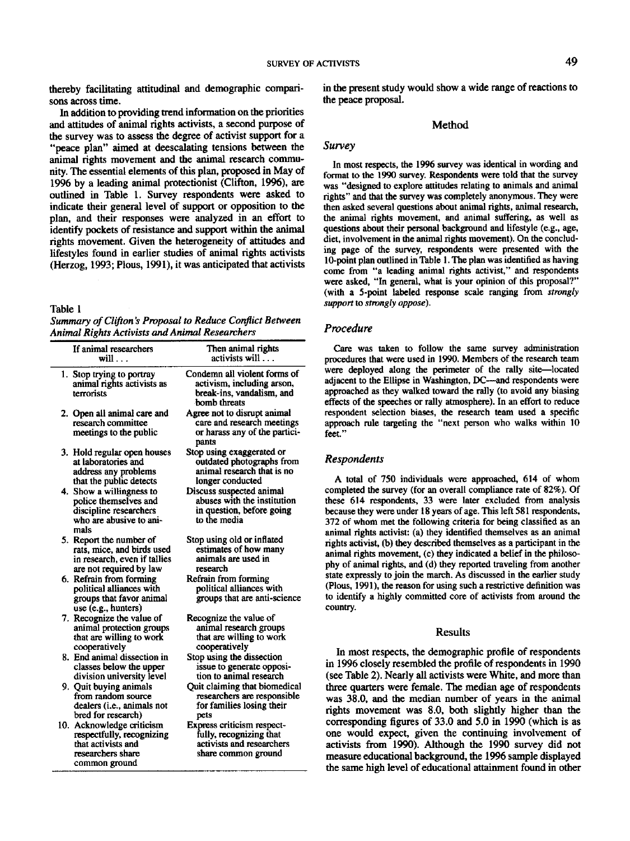thereby facilitating attitudinal and demographic comparisons across time.

In addition to providing trend information on the priorities and attitudes of animal fights activists, a second purpose of the survey was to assess the degree of activist support for a "peace plan" aimed at deescalating tensions between the animal fights movement and the animal research community. The essential elements of this plan, proposed in May of 1996 by a leading animal protectionist (Clifton, 1996), are outlined in Table 1. Survey respondents were asked to indicate their general level of support or opposition to the plan, and their responses were analyzed in an effort to identify pockets of resistance and support within the animal fights movement. Given the heterogeneity of attitudes and lifestyles found in earlier studies of animal fights activists (Herzog, 1993; Pious, 1991), it was anticipated that activists

#### Table 1

*Summary of Clifton's Proposal to Reduce Conflict Between Animal Rights Activists and Animal Researchers* 

| If animal researchers<br>will                                                                                      | Then animal rights<br>activists will                                                                             |
|--------------------------------------------------------------------------------------------------------------------|------------------------------------------------------------------------------------------------------------------|
| 1. Stop trying to portray<br>animal rights activists as<br>terrorists                                              | Condemn all violent forms of<br>activism, including arson,<br>break-ins, vandalism, and<br>bomb threats          |
| 2. Open all animal care and<br>research committee<br>meetings to the public                                        | Agree not to disrupt animal<br>care and research meetings<br>or harass any of the partici-<br>pants              |
| 3. Hold regular open houses<br>at laboratories and<br>address any problems<br>that the public detects              | Stop using exaggerated or<br>outdated photographs from<br>animal research that is no<br>longer conducted         |
| 4. Show a willingness to<br>police themselves and<br>discipline researchers<br>who are abusive to ani-<br>mals     | Discuss suspected animal<br>abuses with the institution<br>in question, before going<br>to the media             |
| 5. Report the number of<br>rats, mice, and birds used<br>in research, even if tallies<br>are not required by law   | Stop using old or inflated<br>estimates of how many<br>animals are used in<br>research                           |
| 6. Refrain from forming<br>political alliances with<br>groups that favor animal<br>use (e.g., hunters)             | Refrain from forming<br>political alliances with<br>groups that are anti-science                                 |
| 7. Recognize the value of<br>animal protection groups<br>that are willing to work<br>cooperatively                 | Recognize the value of<br>animal research groups<br>that are willing to work<br>cooperatively                    |
| 8. End animal dissection in<br>classes below the upper<br>division university level                                | Stop using the dissection<br>issue to generate opposi-<br>tion to animal research                                |
| 9. Quit buying animals<br>from random source<br>dealers (i.e., animals not<br>bred for research)                   | Quit claiming that biomedical<br>researchers are responsible<br>for families losing their<br>pets                |
| 10. Acknowledge criticism<br>respectfully, recognizing<br>that activists and<br>researchers share<br>common ground | <b>Express criticism respect-</b><br>fully, recognizing that<br>activists and researchers<br>share common ground |

in the present study would show a wide range of reactions to the peace proposal.

## **Method**

#### *Survey*

In most respects, the 1996 survey was identical in wording and format to the 1990 survey. Respondents were told that the survey was "designed to explore attitudes relating to animals and animal fights" and that the survey was completely anonymous. They were then asked several questions about animal fights, animal research, the animal rights movement, and animal suffering, as well as questions about their personal background and lifestyle (e.g., age, diet, involvement in the animal rights movement). On the concluding page of the survey, respondents were presented with the 10-point plan outlined in Table 1. The plan was identified as having come from "a leading animal fights activist," and respondents were asked, "In general, what is your opinion of this proposal?" (with a 5-point labeled response scale ranging from *strongly support to strongly oppose).* 

#### *Procedure*

Care was taken to follow the same survey administration procedures that were used in 1990. Members of the research team were deployed along the perimeter of the rally site-located adjacent to the Ellipse in Washington, DC--and respondents were approached as they walked toward the rally (to avoid any biasing effects of the speeches or rally atmosphere). In an effort to reduce respondent selection biases, the research team used a specific approach rule targeting the "next person who walks within 10 feet."

#### *Respondents*

A total of 750 individuals were approached, 614 of whom completed the survey (for an overall compliance rate of 82%). Of these 614 respondents, 33 were later excluded from analysis because they were under 18 years of age. This left 581 respondents, 372 of whom met the following criteria for being classified as an animal fights activist: (a) they identified themselves as an animal rights activist, (b) they described themselves as a participant in the animal fights movement, (c) they indicated a belief in the philosophy of animal fights, and (d) they reported traveling from another state expressly to join the march. As discussed in the earlier study (Pious, 1991), the reason for using such a restrictive definition was to identify a highly committed core of activists from around the country.

#### Results

In most respects, the demographic profile of respondents in 1996 closely resembled the profile of respondents in 1990 (see Table 2). Nearly all activists were White, and more than three quarters were female. The median age of respondents was 38.0, and the median number of years in the animal fights movement was 8.0, both slightly higher than the corresponding figures of 33.0 and 5.0 in 1990 (which is as one would expect, given the continuing involvement of activists from 1990). Although the 1990 survey did not measure educational background, the 1996 sample displayed the same high level of educational attainment found in other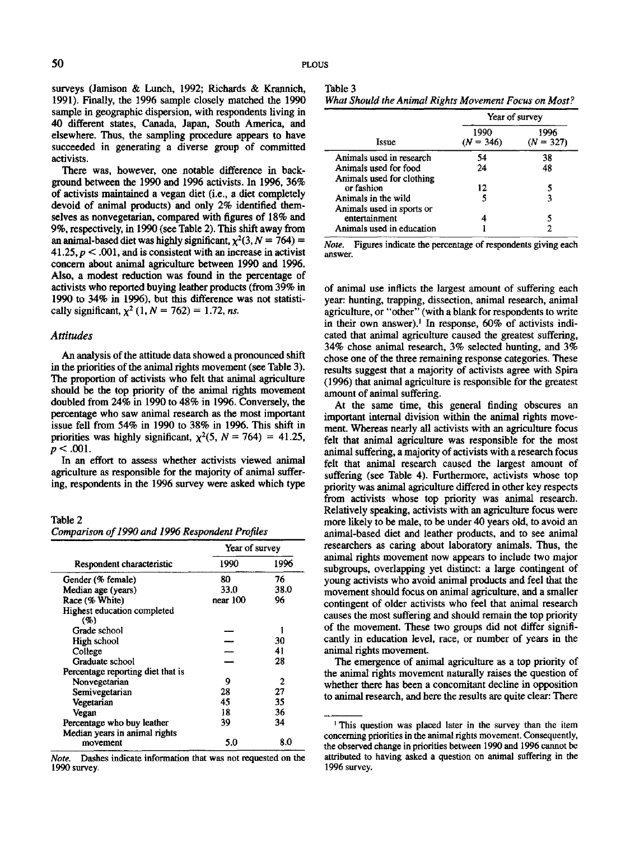Table 3

surveys (Jamison & Lunch, 1992; Richards & Krannich, 1991). Finally, the 1996 sample closely matched the 1990 sample in geographic dispersion, with respondents living in 40 different states, Canada, Japan, South America, and elsewhere. Thus, the sampling procedure appears to have succeeded in generating a diverse group of committed activists.

There was, however, one notable difference in background between the 1990 and 1996 activists. In 1996, 36% of activists maintained a vegan diet (i.e., a diet completely devoid of animal products) and only 2% identified themselves as nonvegetarian, compared with figures of 18% and 9%, respectively, in 1990 (see Table 2). This shift away from an animal-based diet was highly significant,  $\chi^2(3, N = 764)$  = 41.25,  $p < .001$ , and is consistent with an increase in activist concern about animal agriculture between 1990 and 1996. Also, a modest reduction was found in the percentage of activists who reported buying leather products (from 39% in 1990 to 34% in 1996), but this difference was not statistically significant,  $\chi^2$  (1,  $N = 762$ ) = 1.72, *ns.* 

## *Attitudes*

An analysis of the attitude data showed a pronounced shift in the priorities of the animal fights movement (see Table 3). The proportion of activists who felt that animal agriculture should be the top priority of the animal rights movement doubled from 24% in 1990 to 48% in 1996. Conversely, the percentage who saw animal research as the most important issue fell from 54% in 1990 to 38% in 1996. This shift in priorities was highly significant,  $\chi^2$ (5, N = 764) = 41.25,  $p < .001$ .

In an effort to assess whether activists viewed animal agriculture as responsible for the majority of animal suffering, respondents in the 1996 survey were asked which type

Table **2**  *Comparison of 1990 and 1996 Respondent Profiles* 

|                                                             | Year of survey |      |  |
|-------------------------------------------------------------|----------------|------|--|
| Respondent characteristic                                   | 1990           | 1996 |  |
| Gender (% female)                                           | 80             | 76   |  |
| Median age (years)                                          | 33.0           | 38.0 |  |
| Race (% White)                                              | near 100       | 96   |  |
| Highest education completed<br>(9)                          |                |      |  |
| Grade school                                                |                |      |  |
| High school                                                 |                | 30   |  |
| College                                                     |                | 41   |  |
| Graduate school                                             |                | 28   |  |
| Percentage reporting diet that is                           |                |      |  |
| Nonvegetarian                                               | 9              | 2    |  |
| Semivegetarian                                              | 28             | 27   |  |
| Vegetarian                                                  | 45             | 35   |  |
| Vegan                                                       | 18             | 36   |  |
| Percentage who buy leather<br>Median years in animal rights | 39             | 34   |  |
| movement                                                    | 5.0            | 8.0  |  |

*Note.* Dashes indicate information that was not requested on the 1990 survey.

| What Should the Animal Rights Movement Focus on Most? |  |  |
|-------------------------------------------------------|--|--|

|                                         | Year of survey      |                     |  |
|-----------------------------------------|---------------------|---------------------|--|
| Issue                                   | 1990<br>$(N = 346)$ | 1996<br>$(N = 327)$ |  |
| Animals used in research                | 54                  | 38                  |  |
| Animals used for food                   | 24                  | 48                  |  |
| Animals used for clothing<br>or fashion | 12                  | 5                   |  |
| Animals in the wild                     |                     | 3                   |  |
| Animals used in sports or               |                     |                     |  |
| entertainment                           |                     |                     |  |
| Animals used in education               |                     |                     |  |

*Note.* Figures indicate the percentage of respondents giving each answer.

of animal use inflicts the largest amount of suffering each year: hunting, trapping, dissection, animal research, animal agriculture, or "other" (with a blank for respondents to write in their own answer).<sup>1</sup> In response,  $60\%$  of activists indicated that animal agriculture caused the greatest suffering, 34% chose animal research, 3% selected hunting, and 3% chose one of the three remaining response categories. These results suggest that a majority of activists agree with Spira (1996) that animal agriculture is responsible for the greatest amount of animal suffering.

At the same time, this general finding obscures an important internal division within the animal fights movement. Whereas nearly all activists with an agriculture focus felt that animal agriculture was responsible for the most animal suffering, a majority of activists with a research focus felt that animal research caused the largest amount of suffering (see Table 4). Furthermore, activists whose top priority was animal agriculture differed in other key respects from activists whose top priority was animal research. Relatively speaking, activists with an agriculture focus were more likely to be male, to be under 40 years old, to avoid an animal-based diet and leather products, and to see animal researchers as caring about laboratory animals. Thus, the animal fights movement now appears to include two major subgroups, overlapping yet distinct: a large contingent of young activists who avoid animal products and feel that the movement should focus on animal agriculture, and a smaller contingent of older activists who feel that animal research causes the most suffering and should remain the top priority of the movement. These two groups did not differ significantly in education level, race, or number of years in the animal rights movement.

The emergence of animal agriculture as a top priority of the animal fights movement naturally raises the question of whether there has been a concomitant decline in opposition to animal research, and here the results are quite clear: There

<sup>&</sup>lt;sup>1</sup> This question was placed later in the survey than the item concerning priorities in the animal rights movement. Consequently, the observed change in priorities between 1990 and 1996 cannot be attributed to having asked a question on animal suffering in the 1996 survey.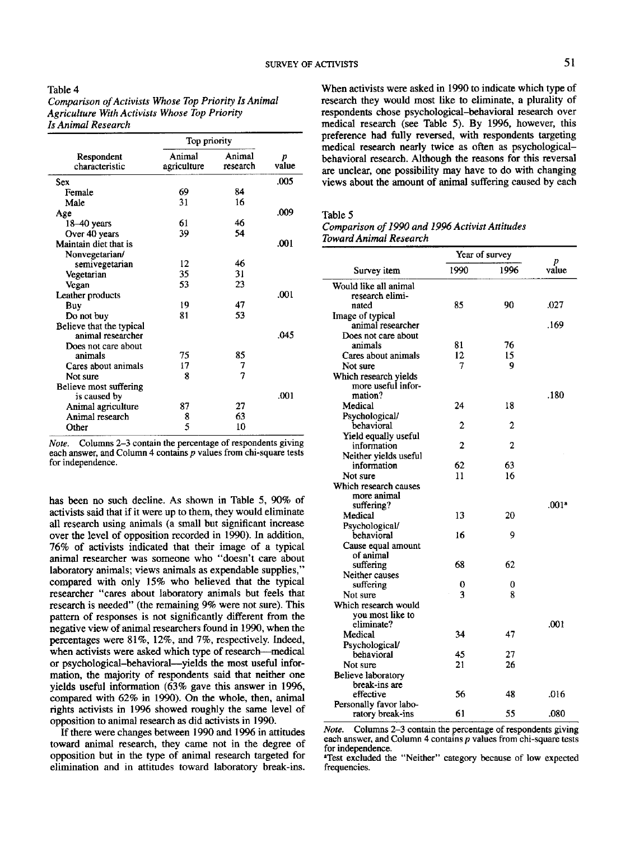| 1abie 4                                              |
|------------------------------------------------------|
| Comparison of Activists Whose Top Priority Is Animal |
| <b>Agriculture With Activists Whose Top Priority</b> |
| Is Animal Research                                   |

 $T = 1$ 

|                              | Top priority          |                    |            |
|------------------------------|-----------------------|--------------------|------------|
| Respondent<br>characteristic | Animal<br>agriculture | Animal<br>research | p<br>value |
| Sex                          |                       |                    | .005       |
| Female                       | 69                    | 84                 |            |
| Male                         | 31                    | 16                 |            |
| Age                          |                       |                    | .009       |
| 18–40 years                  | 61                    | 46                 |            |
| Over 40 years                | 39                    | 54                 |            |
| Maintain diet that is        |                       |                    | .001       |
| Nonvegetarian/               |                       |                    |            |
| semivegetarian               | 12                    | 46                 |            |
| Vegetarian                   | 35                    | 31                 |            |
| Vegan                        | 53                    | 23                 |            |
| Leather products             |                       |                    | .001       |
| Buy                          | 19                    | 47                 |            |
| Do not buy                   | 81                    | 53                 |            |
| Believe that the typical     |                       |                    |            |
| animal researcher            |                       |                    | .045       |
| Does not care about          |                       |                    |            |
| animals                      | 75                    | 85                 |            |
| Cares about animals          | 17                    | 7                  |            |
| Not sure                     | 8                     | $\overline{7}$     |            |
| Believe most suffering       |                       |                    |            |
| is caused by                 |                       |                    | .001       |
| Animal agriculture           | 87                    | 27                 |            |
| Animal research              | 8                     | 63                 |            |
| Other                        | 5                     | 10                 |            |

*Note.* Columns 2-3 contain the percentage of respondents giving each answer, and Column 4 contains p values from chi-square tests for independence.

has been no such decline. As shown in Table 5, 90% of activists said that if it were up to them, they would eliminate all research using animals (a small but significant increase over the level of opposition recorded in 1990). In addition, 76% of activists indicated that their image of a typical animal researcher was someone who "doesn't care about laboratory animals; views animals as expendable supplies," compared with only 15% who believed that the typical researcher "cares about laboratory animals but feels that research is needed" (the remaining 9% were not sure). This pattern of responses is not significantly different from the negative view of animal researchers found in 1990, when the percentages were 81%, 12%, and 7%, respectively. Indeed, when activists were asked which type of research---medical or psychological-behavioral--yields the most useful informarion, the majority of respondents said that neither one yields useful information (63% gave this answer in 1996, compared with 62% in 1990). On the whole, then, animal rights activists in 1996 showed roughly the same level of opposition to animal research as did activists in 1990.

If there were changes between 1990 and 1996 in attitudes toward animal research, they came not in the degree of opposition but in the type of animal research targeted for elimination and in attitudes toward laboratory break-ins.

When activists were asked in 1990 to indicate which type of research they would most like to eliminate, a plurality of respondents chose psychological-behavioral research over medical research (see Table 5). By 1996, however, this preference had fully reversed, with respondents targeting medical research nearly twice as often as psychologicalbehavioral research. Although the reasons for this reversal are unclear, one possibility may have to do with changing views about the amount of animal suffering caused by each

### Table 5

*Comparison of 1990 and 1996 Activist Attitudes Toward Animal Research* 

|                              |      | Year of survey |            |
|------------------------------|------|----------------|------------|
| Survey item                  | 1990 | 1996           | p<br>value |
| Would like all animal        |      |                |            |
| research elimi-              |      |                |            |
| nated                        | 85   | 90             | .027       |
| Image of typical             |      |                |            |
| animal researcher            |      |                | .169       |
| Does not care about          |      |                |            |
| animals                      | 81   | 76             |            |
| Cares about animals          | 12   | 15             |            |
| Not sure                     | 7    | 9              |            |
| Which research yields        |      |                |            |
| more useful infor-           |      |                |            |
| mation?                      |      |                | .180       |
| Medical                      | 24   | 18             |            |
| Psychological/               |      |                |            |
| behavioral                   | 2    | 2              |            |
| Yield equally useful         |      |                |            |
| information                  | 2    | 2              |            |
| Neither yields useful        |      |                |            |
| information                  | 62   | 63             |            |
| Not sure                     | 11   | 16             |            |
| Which research causes        |      |                |            |
| more animal                  |      |                |            |
| suffering?                   |      |                | .001ª      |
| Medical                      | 13   | 20             |            |
| Psychological/               |      |                |            |
| behavioral                   | 16   | 9              |            |
| Cause equal amount           |      |                |            |
| of animal                    |      |                |            |
| suffering                    | 68   | 62             |            |
| Neither causes               |      |                |            |
| suffering                    | 0    | 0              |            |
| Not sure                     | 3    | 8              |            |
| Which research would         |      |                |            |
| you most like to             |      |                |            |
| eliminate?                   |      |                | .001       |
| Medical                      | 34   | 47             |            |
| Psychological/<br>behavioral |      |                |            |
|                              | 45   | 27             |            |
| Not sure                     | 21   | 26             |            |
| Believe laboratory           |      |                |            |
| break-ins are                |      |                |            |
| effective                    | 56   | 48             | .016       |
| Personally favor labo-       |      |                |            |
| ratory break-ins             | 61   | 55             | .080       |

*Note.* Columns 2-3 contain the percentage of respondents giving each answer, and Column 4 contains  $p$  values from chi-square tests for independence.

aTest excluded the "Neither" category because of low expected frequencies.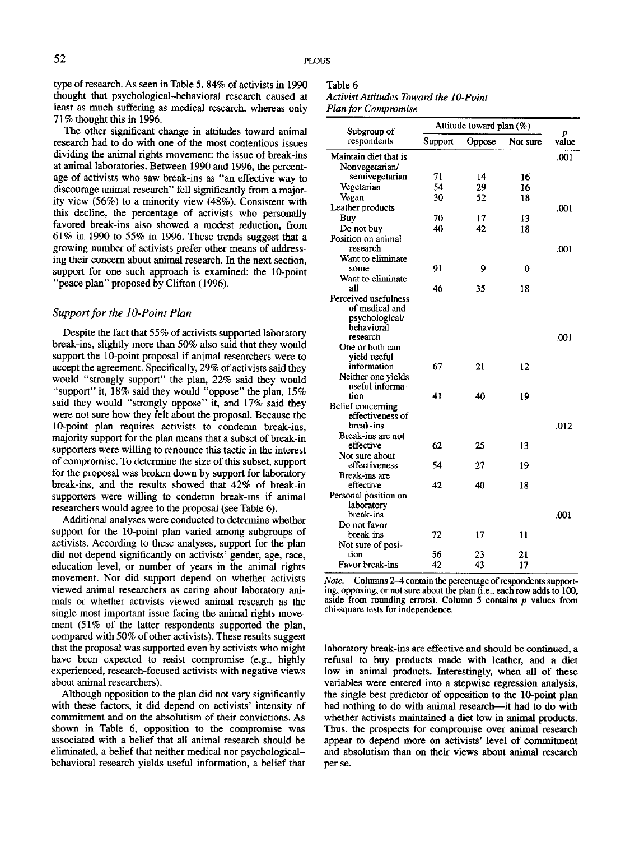type of research. As seen in Table 5, 84% of activists in 1990 thought that psychological-behavioral research caused at least as much suffering as medical research, whereas only 71% thought this in 1996.

The other significant change in attitudes toward animal research had to do with one of the most contentious issues dividing the animal rights movement: the issue of break-ins at animal laboratories. Between 1990 and 1996, the percentage of activists who saw break-ins as "an effective way to discourage animal research" fell significantly from a majority view (56%) to a minority view (48%). Consistent with this decline, the percentage of activists who personally favored break-ins also showed a modest reduction, from 61% in 1990 to 55% in 1996. These trends suggest that a growing number of activists prefer other means of addressing their concern about animal research. In the next section, support for one such approach is examined: the 10-point "peace plan" proposed by Clifton (1996).

# *Support for the lO-Point Plan*

Despite the fact that 55% of activists supported laboratory break-ins, slightly more than 50% also said that they would support the 10-point proposal if animal researchers were to accept the agreement. Specifically, 29% of activists said they would "strongly support" the plan, 22% said they would "support" it,  $18\%$  said they would "oppose" the plan,  $15\%$ said they would "strongly oppose" it, and 17% said they were not sure how they felt about the proposal. Because the 10-point plan requires activists to condemn break-ins, majority support for the plan means that a subset of break-in supporters were willing to renounce this tactic in the interest of compromise. To determine the size of this subset, support for the proposal was broken down by support for laboratory break-ins, and the results showed that 42% of break-in supporters were willing to condemn break-ins if animal researchers would agree to the proposal (see Table 6).

Additional analyses were conducted to determine whether support for the 10-point plan varied among subgroups of activists. According to these analyses, support for the plan did not depend significantly on activists' gender, age, race, education level, or number of years in the animal rights movement. Nor did support depend on whether activists viewed animal researchers as caring about laboratory animals or whether activists viewed animal research as the single most important issue facing the animal rights movement (51% of the latter respondents supported the plan, compared with 50% of other activists). These results suggest that the proposal was supported even by activists who might have been expected to resist compromise (e.g., highly experienced, research-focused activists with negative views about animal researchers).

Although opposition to the plan did not vary significantly with these factors, it did depend on activists' intensity of commitment and on the absolutism of their convictions. As shown in Table 6, opposition to the compromise was associated with a belief that all animal research should be eliminated, a belief that neither medical nor psychologicalbehavioral research yields useful information, a belief that

# Table 6 *Activist Attitudes Toward the l O-Point Plan for Compromise*

| Subgroup of                            | Attitude toward plan (%) |        |          |            |
|----------------------------------------|--------------------------|--------|----------|------------|
| respondents                            | Support                  | Oppose | Not sure | p<br>value |
| Maintain diet that is                  |                          |        |          | .001       |
| Nonvegetarian/                         |                          |        |          |            |
| semivegetarian                         | 71                       | 14     | 16       |            |
| Vegetarian                             | 54                       | 29     | 16       |            |
| Vegan                                  | 30                       | 52     | 18       |            |
| Leather products                       |                          |        |          | .001       |
| Buy                                    | 70                       | 17     | 13       |            |
| Do not buy                             | 40                       | 42     | 18       |            |
| Position on animal<br>research         |                          |        |          | .001       |
| Want to eliminate                      |                          |        |          |            |
| some                                   | 91                       | 9      | 0        |            |
| Want to eliminate                      |                          |        |          |            |
| all                                    | 46                       | 35     | 18       |            |
| Perceived usefulness<br>of medical and |                          |        |          |            |
| psychological/                         |                          |        |          |            |
| behavioral                             |                          |        |          |            |
| research                               |                          |        |          | .001       |
| One or both can                        |                          |        |          |            |
| yield useful                           |                          |        |          |            |
| information                            | 67                       | 21     | 12       |            |
| Neither one yields                     |                          |        |          |            |
| useful informa-                        |                          |        |          |            |
| tion                                   | 41                       | 40     | 19       |            |
| Belief concerning                      |                          |        |          |            |
| effectiveness of                       |                          |        |          |            |
| break-ins                              |                          |        |          | .012       |
| Break-ins are not                      |                          |        |          |            |
| effective                              | 62                       | 25     | 13       |            |
| Not sure about                         |                          |        |          |            |
| effectiveness                          | 54                       | 27     | 19       |            |
| Break-ins are<br>effective             | 42                       | 40     | 18       |            |
|                                        |                          |        |          |            |
| Personal position on<br>laboratory     |                          |        |          |            |
| break-ins                              |                          |        |          | .001       |
| Do not favor                           |                          |        |          |            |
| break-ins                              | 72                       | 17     | 11       |            |
| Not sure of posi-                      |                          |        |          |            |
| tion                                   | 56                       | 23     | 21       |            |
| Favor break-ins                        | 42                       | 43     | 17       |            |

*Note.* Columns 2-4 contain the percentage of respondents supporting, opposing, or not sure about the plan (i.e., each row adds to 100, aside from rounding errors). Column 5 contains  $p$  values from chi-square tests for independence.

laboratory break-ins are effective and should be continued, a refusal to buy products made with leather, and a diet low in animal products. Interestingly, when all of **these**  variables were entered into a stepwise regression analysis, the single best predictor of opposition to the 10-point plan had nothing to do with animal research--it had to do with whether activists maintained a diet low in animal products. Thus, the prospects for compromise over animal research appear to depend more on activists' level of commitment and absolutism than on their views about animal research per se.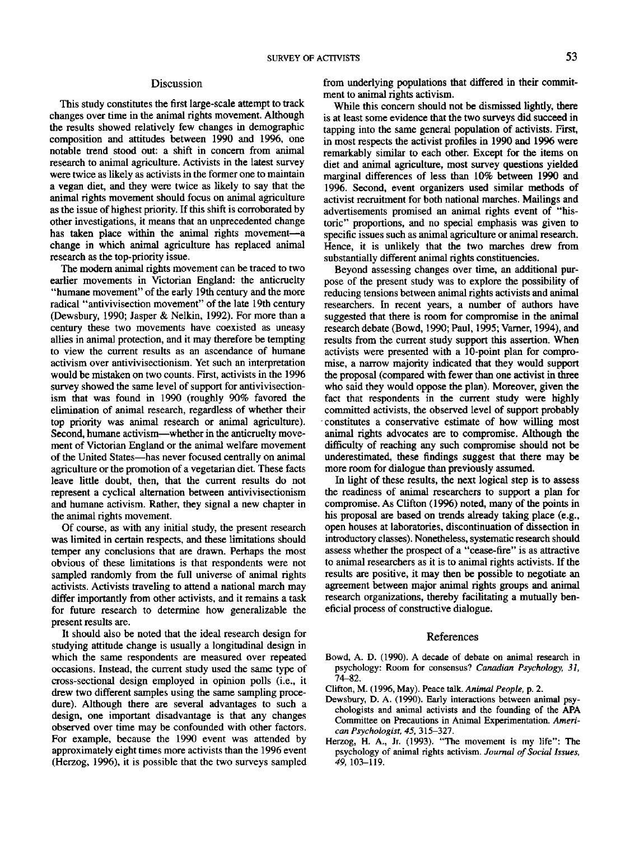## Discussion

This study constitutes the first large-scale attempt to track changes over time in the animal fights movement. Although the results showed relatively few changes in demographic composition and attitudes between 1990 and 1996, one notable trend stood out: a shift in concern from animal research to animal agriculture. Activists in the latest survey were twice as likely as activists in the former one to maintain a vegan diet, and they were twice as likely to say that the animal rights movement should focus on animal agriculture as the issue of highest priority. If this shift is corroborated by other investigations, it means that an unprecedented change has taken place within the animal rights movement-a change in which animal agriculture has replaced animal research as the top-pfiofity issue.

The modern animal fights movement can be traced to two earlier movements in Victorian England: the anticruelty "humane movement" of the early 19th century and the more radical "antivivisection movement" of the late 19th century (Dewsbury, 1990; Jasper & Nelkin, 1992). For more than a century these two movements have coexisted as uneasy allies in animal protection, and it may therefore be tempting to view the current results as an ascendance of humane activism over antivivisectionism. Yet such an interpretation would be mistaken on two counts. First, activists in the 1996 survey showed the same level of support for antivivisectionism that was found in 1990 (roughly 90% favored the elimination of animal research, regardless of whether their top priority was animal research or animal agriculture). Second, humane activism--whether in the anticruelty movement of Victorian England or the animal welfare movement of the United States--has never focused centrally on animal agriculture or the promotion of a vegetarian diet. These facts leave little doubt, then, that the current results do not represent a cyclical alternation between antivivisectionism and humane activism. Rather, they signal a new chapter in the animal fights movement.

Of course, as with any initial study, the present research was limited in certain respects, and these limitations should temper any conclusions that are drawn. Perhaps the most obvious of these limitations is that respondents were not sampled randomly from the full universe of animal fights activists. Activists traveling to attend a national march may differ importantly from other activists, and it remains a task for future research to determine how generalizable the present results are.

It should also be noted that the ideal research design for studying attitude change is usually a longitudinal design in which the same respondents are measured over repeated occasions. Instead, the current study used the same type of cross-sectional design employed in opinion polls (i.e., it drew two different samples using the same sampling procedure). Although there are several advantages to such a design, one important disadvantage is that any changes observed over time may be confounded with other factors. For example, because the 1990 event was attended by approximately eight times more activists than the 1996 event (Herzog, 1996), it is possible that the two surveys sampled

from underlying populations that differed in their commitment to animal fights activism.

While this concern should not be dismissed lightly, there is at least some evidence that the two surveys did succeed in tapping into the same general population of activists. First, in most respects the activist profiles in 1990 and 1996 were remarkably similar to each other. Except for the items on diet and animal agriculture, most survey questions yielded marginal differences of less than 10% between 1990 and 1996. Second, event organizers used similar methods of activist recruitment for both national marches. Mailings and advertisements promised an animal fights event of "historic" proportions, and no special emphasis was given to specific issues such as animal agriculture or animal research. Hence, it is unlikely that the two marches drew from substantially different animal fights constituencies.

Beyond assessing changes over time, an additional purpose of the present study was to explore the possibility of reducing tensions between animal fights activists and animal researchers. In recent years, a number of authors have suggested that there is room for compromise in the animal research debate (Bowd, 1990; Paul, 1995; Varner, 1994), and results from the current study support this assertion. When activists were presented with a 10-point plan for compromise, a narrow majority indicated that they would support the proposal (compared with fewer than one activist in three who said they would oppose the plan). Moreover, given the fact that respondents in the current study were highly committed activists, the observed level of support probably constitutes a conservative estimate of how willing most animal fights advocates are to compromise. Although the difficulty of reaching any such compromise should not be underestimated, these findings suggest that there may be more room for dialogue than previously assumed.

In light of these results, the next logical step is to assess the readiness of animal researchers to support a plan for compromise. As Clifton (1996) noted, many of the points in his proposal are based on trends already taking place (e.g., open houses at laboratories, discontinuation of dissection in introductory classes). Nonetheless, systematic research should assess whether the prospect of a "cease-fire" is as attractive to animal researchers as it is to animal fights activists. If the results are positive, it may then be possible to negotiate an agreement between major animal fights groups and animal research organizations, thereby facilitating a mutually beneficial process of constructive dialogue.

## References

- Bowd, A. D. (1990). A decade of debate on animal research in psychology: Room for consensus? *Canadian Psychology, 31,*  74-82.
- Clifton, M. (1996, May). Peace talk. *Animal People, p. 2.*
- Dewsbury, D. A. (1990). Early interactions between animal psychologists and animal activists and the founding of the APA Committee on Precautions in Animal Experimentation. *American Psychologist, 45,* 315-327.
- Herzog, H. A., Jr. (1993). "The movement is my life": The psychology of animal rights activism. *Journal of Social Issues, 49,* 103-119.